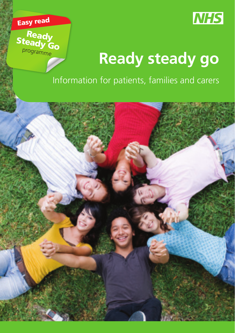



# **Ready steady go**

Information for patients, families and carers

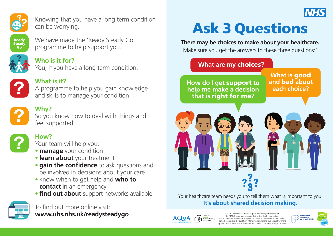

Knowing that you have a long term condition can be worrying.



We have made the 'Ready Steady Go' programme to help support you.



**Who is it for?** You, if you have a long term condition.



#### **What is it?**

A programme to help you gain knowledge and skills to manage your condition.



### **Why?**

So you know how to deal with things and feel supported.



## **How?**

Your team will help you:

- **manage** your condition
- **learn about** your treatment
- **gain the confidence** to ask questions and be involved in decisions about your care
- know when to get help and **who to contact** in an emergency
- **find out about** support networks available.



To find out more online visit: **www.uhs.nhs.uk/readysteadygo**

# Ask 3 Questions

**There may be choices to make about your healthcare.** 

Make sure you get the answers to these three questions:<sup>\*</sup>

#### **What are my** choices?

**each choice? How do I get** support **to help me make a decision that is** right for me**?**

**What is** good **and** bad **about** 



Your healthcare team needs you to tell them what is important to you. **It's about shared decision making.** 



\*Ask 3 Questions has been adapted with kind permission from the MAGIC programme, supported by the Health Foundation. Ask 3 Questions is based on Shepherd HL, et al. Three questions that parents can ask to improve the quality of information physicians give about treatment options: A cross-over trial. Patient education and Counselling, 2011;84: 379-85